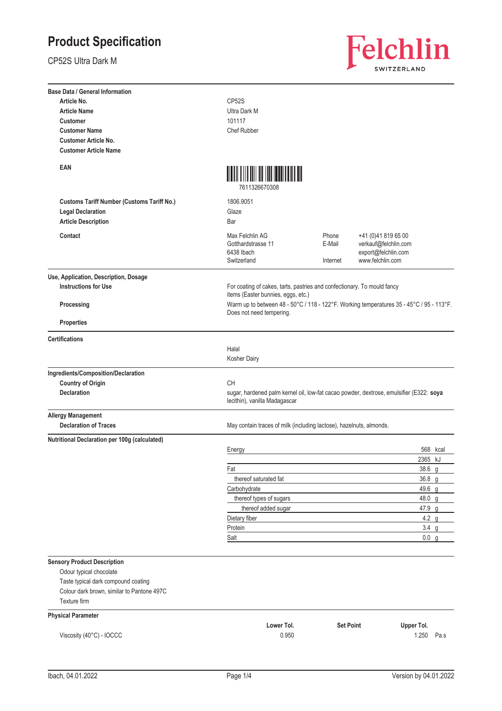CP52S Ultra Dark M



| <b>Base Data / General Information</b>            |                                                                     |                                                                                          |                                                                                         |  |
|---------------------------------------------------|---------------------------------------------------------------------|------------------------------------------------------------------------------------------|-----------------------------------------------------------------------------------------|--|
| Article No.                                       | CP52S                                                               |                                                                                          |                                                                                         |  |
| <b>Article Name</b>                               | <b>Ultra Dark M</b>                                                 |                                                                                          |                                                                                         |  |
| <b>Customer</b>                                   | 101117                                                              |                                                                                          |                                                                                         |  |
| <b>Customer Name</b>                              | <b>Chef Rubber</b>                                                  |                                                                                          |                                                                                         |  |
| <b>Customer Article No.</b>                       |                                                                     |                                                                                          |                                                                                         |  |
| <b>Customer Article Name</b>                      |                                                                     |                                                                                          |                                                                                         |  |
| EAN                                               | <u> ATALIAN ATAU ANTARA</u><br>7611326670308                        |                                                                                          |                                                                                         |  |
| <b>Customs Tariff Number (Customs Tariff No.)</b> | 1806.9051                                                           |                                                                                          |                                                                                         |  |
| <b>Legal Declaration</b>                          | Glaze                                                               |                                                                                          |                                                                                         |  |
| <b>Article Description</b>                        | Bar                                                                 |                                                                                          |                                                                                         |  |
|                                                   |                                                                     |                                                                                          |                                                                                         |  |
| Contact                                           | Max Felchlin AG<br>Gotthardstrasse 11<br>6438 Ibach<br>Switzerland  | Phone<br>E-Mail<br>Internet                                                              | +41 (0)41 819 65 00<br>verkauf@felchlin.com<br>export@felchlin.com<br>www.felchlin.com  |  |
| Use, Application, Description, Dosage             |                                                                     |                                                                                          |                                                                                         |  |
| <b>Instructions for Use</b>                       | items (Easter bunnies, eggs, etc.)                                  | For coating of cakes, tarts, pastries and confectionary. To mould fancy                  |                                                                                         |  |
| Processing                                        | Does not need tempering.                                            | Warm up to between 48 - 50°C / 118 - 122°F. Working temperatures 35 - 45°C / 95 - 113°F. |                                                                                         |  |
| <b>Properties</b>                                 |                                                                     |                                                                                          |                                                                                         |  |
| <b>Certifications</b>                             |                                                                     |                                                                                          |                                                                                         |  |
|                                                   | Halal<br>Kosher Dairy                                               |                                                                                          |                                                                                         |  |
| Ingredients/Composition/Declaration               |                                                                     |                                                                                          |                                                                                         |  |
| <b>Country of Origin</b>                          | CH                                                                  |                                                                                          |                                                                                         |  |
| <b>Declaration</b>                                | lecithin), vanilla Madagascar                                       |                                                                                          | sugar, hardened palm kernel oil, low-fat cacao powder, dextrose, emulsifier (E322: soya |  |
| <b>Allergy Management</b>                         |                                                                     |                                                                                          |                                                                                         |  |
| <b>Declaration of Traces</b>                      | May contain traces of milk (including lactose), hazelnuts, almonds. |                                                                                          |                                                                                         |  |
| Nutritional Declaration per 100g (calculated)     |                                                                     |                                                                                          |                                                                                         |  |
|                                                   | Energy                                                              |                                                                                          | 568 kcal                                                                                |  |
|                                                   |                                                                     |                                                                                          | 2365 kJ                                                                                 |  |
|                                                   | Fat                                                                 |                                                                                          | 38.6 g                                                                                  |  |
|                                                   | thereof saturated fat                                               |                                                                                          | 36.8 g                                                                                  |  |
|                                                   | Carbohydrate                                                        |                                                                                          | 49.6 g                                                                                  |  |
|                                                   | thereof types of sugars                                             |                                                                                          | 48.0 $q$                                                                                |  |
|                                                   | thereof added sugar                                                 |                                                                                          | 47.9 g                                                                                  |  |
|                                                   | Dietary fiber                                                       |                                                                                          | 4.2 <sub>g</sub>                                                                        |  |
|                                                   | Protein<br>Salt                                                     |                                                                                          | $3.4$ g<br>0.0 g                                                                        |  |
|                                                   |                                                                     |                                                                                          |                                                                                         |  |
| <b>Sensory Product Description</b>                |                                                                     |                                                                                          |                                                                                         |  |
| Odour typical chocolate                           |                                                                     |                                                                                          |                                                                                         |  |
| Taste typical dark compound coating               |                                                                     |                                                                                          |                                                                                         |  |
| Colour dark brown, similar to Pantone 497C        |                                                                     |                                                                                          |                                                                                         |  |
| Texture firm                                      |                                                                     |                                                                                          |                                                                                         |  |
|                                                   |                                                                     |                                                                                          |                                                                                         |  |
| <b>Physical Parameter</b>                         | Lower Tol.                                                          | <b>Set Point</b>                                                                         | Upper Tol.                                                                              |  |
| Viscosity (40°C) - IOCCC                          | 0.950                                                               |                                                                                          | 1.250<br>Pa.s                                                                           |  |
|                                                   |                                                                     |                                                                                          |                                                                                         |  |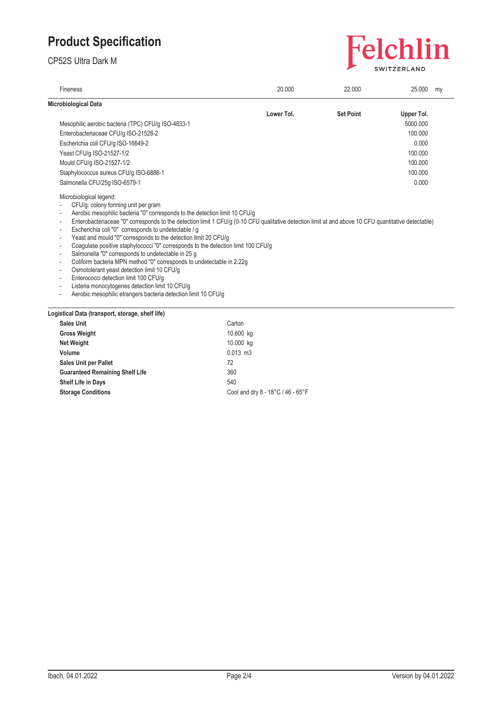CP52S Ultra Dark M



| Fineness                                                                                                                                                                                                                                                                                                                                                                                                                                                                                                                                                                                                                                                                                                                                                                                                                                                                                       | 20.000     | 22.000           | 25.000     | my |
|------------------------------------------------------------------------------------------------------------------------------------------------------------------------------------------------------------------------------------------------------------------------------------------------------------------------------------------------------------------------------------------------------------------------------------------------------------------------------------------------------------------------------------------------------------------------------------------------------------------------------------------------------------------------------------------------------------------------------------------------------------------------------------------------------------------------------------------------------------------------------------------------|------------|------------------|------------|----|
| Microbiological Data                                                                                                                                                                                                                                                                                                                                                                                                                                                                                                                                                                                                                                                                                                                                                                                                                                                                           |            |                  |            |    |
|                                                                                                                                                                                                                                                                                                                                                                                                                                                                                                                                                                                                                                                                                                                                                                                                                                                                                                | Lower Tol. | <b>Set Point</b> | Upper Tol. |    |
| Mesophilic aerobic bacteria (TPC) CFU/q ISO-4833-1                                                                                                                                                                                                                                                                                                                                                                                                                                                                                                                                                                                                                                                                                                                                                                                                                                             |            |                  | 5000.000   |    |
| Enterobacteriaceae CFU/g ISO-21528-2                                                                                                                                                                                                                                                                                                                                                                                                                                                                                                                                                                                                                                                                                                                                                                                                                                                           |            |                  | 100.000    |    |
| Escherichia coli CFU/g ISO-16649-2                                                                                                                                                                                                                                                                                                                                                                                                                                                                                                                                                                                                                                                                                                                                                                                                                                                             |            |                  | 0.000      |    |
| Yeast CFU/g ISO-21527-1/2                                                                                                                                                                                                                                                                                                                                                                                                                                                                                                                                                                                                                                                                                                                                                                                                                                                                      |            |                  | 100.000    |    |
| Mould CFU/g ISO-21527-1/2                                                                                                                                                                                                                                                                                                                                                                                                                                                                                                                                                                                                                                                                                                                                                                                                                                                                      |            |                  | 100.000    |    |
| Staphylococcus aureus CFU/g ISO-6888-1                                                                                                                                                                                                                                                                                                                                                                                                                                                                                                                                                                                                                                                                                                                                                                                                                                                         |            |                  | 100.000    |    |
| Salmonella CFU/25q ISO-6579-1                                                                                                                                                                                                                                                                                                                                                                                                                                                                                                                                                                                                                                                                                                                                                                                                                                                                  |            |                  | 0.000      |    |
| CFU/g: colony forming unit per gram<br>Aerobic mesophilic bacteria "0" corresponds to the detection limit 10 CFU/g<br>Enterobacteriaceae "0" corresponds to the detection limit 1 CFU/g (0-10 CFU qualitative detection limit at and above 10 CFU quantitative detectable)<br>Escherichia coli "0" corresponds to undetectable / g<br>Yeast and mould "0" corresponds to the detection limit 20 CFU/g<br>Coagulase positive staphylococci "0" corresponds to the detection limit 100 CFU/g<br>Salmonella "0" corresponds to undetectable in 25 g<br>Coliform bacteria MPN method "0" corresponds to undetectable in 2.22g<br>Osmotolerant yeast detection limit 10 CFU/g<br>Enterococci detection limit 100 CFU/g<br>Listeria monocytogenes detection limit 10 CFU/g<br>$\overline{\phantom{a}}$<br>Aerobic mesophilic etrangers bacteria detection limit 10 CFU/g<br>$\overline{\phantom{a}}$ |            |                  |            |    |
| Logistical Data (transport, storage, shelf life)                                                                                                                                                                                                                                                                                                                                                                                                                                                                                                                                                                                                                                                                                                                                                                                                                                               |            |                  |            |    |
| <b>Sales Unit</b>                                                                                                                                                                                                                                                                                                                                                                                                                                                                                                                                                                                                                                                                                                                                                                                                                                                                              | Carton     |                  |            |    |
| <b>Gross Weight</b>                                                                                                                                                                                                                                                                                                                                                                                                                                                                                                                                                                                                                                                                                                                                                                                                                                                                            | 10.600 kg  |                  |            |    |
| <b>Net Weight</b>                                                                                                                                                                                                                                                                                                                                                                                                                                                                                                                                                                                                                                                                                                                                                                                                                                                                              | 10.000 kg  |                  |            |    |
| Volume                                                                                                                                                                                                                                                                                                                                                                                                                                                                                                                                                                                                                                                                                                                                                                                                                                                                                         | $0.013$ m3 |                  |            |    |

| <b>UIUSS IIEIUIIL</b>                  | <b>NO.OOO</b> NG                  |
|----------------------------------------|-----------------------------------|
| <b>Net Weight</b>                      | 10.000 kg                         |
| Volume                                 | $0.013$ m $3$                     |
| <b>Sales Unit per Pallet</b>           | 72                                |
| <b>Guaranteed Remaining Shelf Life</b> | 360                               |
| Shelf Life in Days                     | 540                               |
| <b>Storage Conditions</b>              | Cool and dry 8 - 18°C / 46 - 65°F |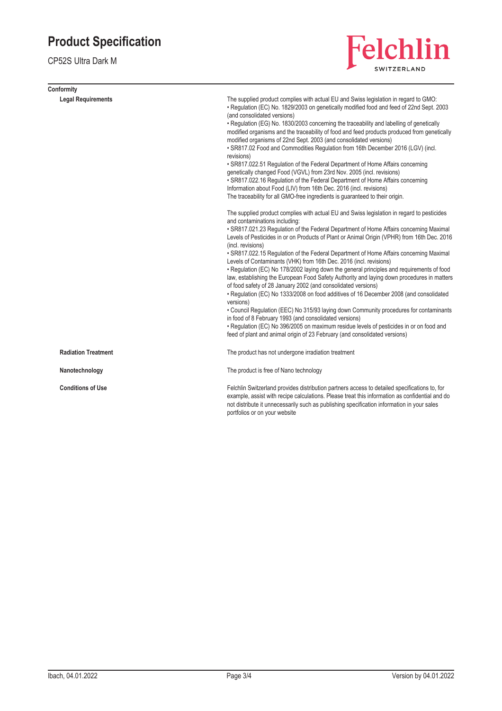CP52S Ultra Dark M

| Conformity                 |                                                                                                                                                                                                                                                                                                                                                                                                                                                                                                                                                                                                                                                                                                                                                                                                                                                                                                                                                                                                                                                                                                                                                                                                           |
|----------------------------|-----------------------------------------------------------------------------------------------------------------------------------------------------------------------------------------------------------------------------------------------------------------------------------------------------------------------------------------------------------------------------------------------------------------------------------------------------------------------------------------------------------------------------------------------------------------------------------------------------------------------------------------------------------------------------------------------------------------------------------------------------------------------------------------------------------------------------------------------------------------------------------------------------------------------------------------------------------------------------------------------------------------------------------------------------------------------------------------------------------------------------------------------------------------------------------------------------------|
| <b>Legal Requirements</b>  | The supplied product complies with actual EU and Swiss legislation in regard to GMO:<br>• Regulation (EC) No. 1829/2003 on genetically modified food and feed of 22nd Sept. 2003<br>(and consolidated versions)<br>• Regulation (EG) No. 1830/2003 concerning the traceability and labelling of genetically<br>modified organisms and the traceability of food and feed products produced from genetically<br>modified organisms of 22nd Sept. 2003 (and consolidated versions)<br>. SR817.02 Food and Commodities Regulation from 16th December 2016 (LGV) (incl.<br>revisions)<br>• SR817.022.51 Regulation of the Federal Department of Home Affairs concerning<br>genetically changed Food (VGVL) from 23rd Nov. 2005 (incl. revisions)<br>• SR817.022.16 Regulation of the Federal Department of Home Affairs concerning<br>Information about Food (LIV) from 16th Dec. 2016 (incl. revisions)<br>The traceability for all GMO-free ingredients is guaranteed to their origin.                                                                                                                                                                                                                       |
|                            | The supplied product complies with actual EU and Swiss legislation in regard to pesticides<br>and contaminations including:<br>• SR817.021.23 Regulation of the Federal Department of Home Affairs concerning Maximal<br>Levels of Pesticides in or on Products of Plant or Animal Origin (VPHR) from 16th Dec. 2016<br>(incl. revisions)<br>• SR817.022.15 Regulation of the Federal Department of Home Affairs concerning Maximal<br>Levels of Contaminants (VHK) from 16th Dec. 2016 (incl. revisions)<br>• Regulation (EC) No 178/2002 laying down the general principles and requirements of food<br>law, establishing the European Food Safety Authority and laying down procedures in matters<br>of food safety of 28 January 2002 (and consolidated versions)<br>• Regulation (EC) No 1333/2008 on food additives of 16 December 2008 (and consolidated<br>versions)<br>• Council Regulation (EEC) No 315/93 laying down Community procedures for contaminants<br>in food of 8 February 1993 (and consolidated versions)<br>• Regulation (EC) No 396/2005 on maximum residue levels of pesticides in or on food and<br>feed of plant and animal origin of 23 February (and consolidated versions) |
| <b>Radiation Treatment</b> | The product has not undergone irradiation treatment                                                                                                                                                                                                                                                                                                                                                                                                                                                                                                                                                                                                                                                                                                                                                                                                                                                                                                                                                                                                                                                                                                                                                       |
| Nanotechnology             | The product is free of Nano technology                                                                                                                                                                                                                                                                                                                                                                                                                                                                                                                                                                                                                                                                                                                                                                                                                                                                                                                                                                                                                                                                                                                                                                    |
| <b>Conditions of Use</b>   | Felchlin Switzerland provides distribution partners access to detailed specifications to, for<br>example, assist with recipe calculations. Please treat this information as confidential and do<br>not distribute it unnecessarily such as publishing specification information in your sales<br>portfolios or on your website                                                                                                                                                                                                                                                                                                                                                                                                                                                                                                                                                                                                                                                                                                                                                                                                                                                                            |

Felchlin